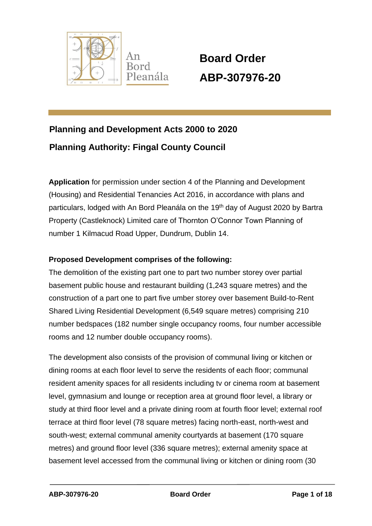

 **Board Order ABP-307976-20**

# **Planning and Development Acts 2000 to 2020 Planning Authority: Fingal County Council**

**Application** for permission under section 4 of the Planning and Development (Housing) and Residential Tenancies Act 2016, in accordance with plans and particulars, lodged with An Bord Pleanála on the 19<sup>th</sup> day of August 2020 by Bartra Property (Castleknock) Limited care of Thornton O'Connor Town Planning of number 1 Kilmacud Road Upper, Dundrum, Dublin 14.

#### **Proposed Development comprises of the following:**

The demolition of the existing part one to part two number storey over partial basement public house and restaurant building (1,243 square metres) and the construction of a part one to part five umber storey over basement Build-to-Rent Shared Living Residential Development (6,549 square metres) comprising 210 number bedspaces (182 number single occupancy rooms, four number accessible rooms and 12 number double occupancy rooms).

The development also consists of the provision of communal living or kitchen or dining rooms at each floor level to serve the residents of each floor; communal resident amenity spaces for all residents including tv or cinema room at basement level, gymnasium and lounge or reception area at ground floor level, a library or study at third floor level and a private dining room at fourth floor level; external roof terrace at third floor level (78 square metres) facing north-east, north-west and south-west; external communal amenity courtyards at basement (170 square metres) and ground floor level (336 square metres); external amenity space at basement level accessed from the communal living or kitchen or dining room (30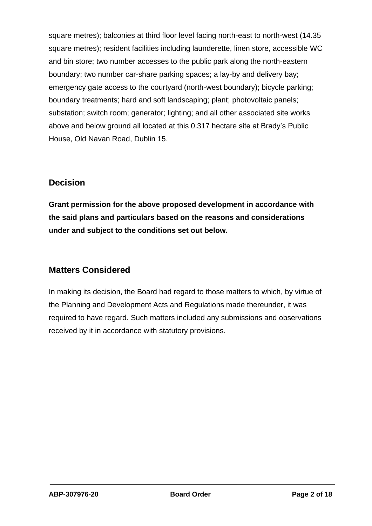square metres); balconies at third floor level facing north-east to north-west (14.35 square metres); resident facilities including launderette, linen store, accessible WC and bin store; two number accesses to the public park along the north-eastern boundary; two number car-share parking spaces; a lay-by and delivery bay; emergency gate access to the courtyard (north-west boundary); bicycle parking; boundary treatments; hard and soft landscaping; plant; photovoltaic panels; substation; switch room; generator; lighting; and all other associated site works above and below ground all located at this 0.317 hectare site at Brady's Public House, Old Navan Road, Dublin 15.

#### **Decision**

**Grant permission for the above proposed development in accordance with the said plans and particulars based on the reasons and considerations under and subject to the conditions set out below.**

# **Matters Considered**

In making its decision, the Board had regard to those matters to which, by virtue of the Planning and Development Acts and Regulations made thereunder, it was required to have regard. Such matters included any submissions and observations received by it in accordance with statutory provisions.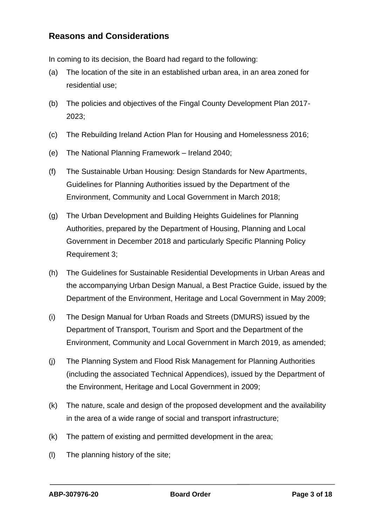#### **Reasons and Considerations**

In coming to its decision, the Board had regard to the following:

- (a) The location of the site in an established urban area, in an area zoned for residential use;
- (b) The policies and objectives of the Fingal County Development Plan 2017- 2023;
- (c) The Rebuilding Ireland Action Plan for Housing and Homelessness 2016;
- (e) The National Planning Framework Ireland 2040;
- (f) The Sustainable Urban Housing: Design Standards for New Apartments, Guidelines for Planning Authorities issued by the Department of the Environment, Community and Local Government in March 2018;
- (g) The Urban Development and Building Heights Guidelines for Planning Authorities, prepared by the Department of Housing, Planning and Local Government in December 2018 and particularly Specific Planning Policy Requirement 3;
- (h) The Guidelines for Sustainable Residential Developments in Urban Areas and the accompanying Urban Design Manual, a Best Practice Guide, issued by the Department of the Environment, Heritage and Local Government in May 2009;
- (i) The Design Manual for Urban Roads and Streets (DMURS) issued by the Department of Transport, Tourism and Sport and the Department of the Environment, Community and Local Government in March 2019, as amended;
- (j) The Planning System and Flood Risk Management for Planning Authorities (including the associated Technical Appendices), issued by the Department of the Environment, Heritage and Local Government in 2009;
- (k) The nature, scale and design of the proposed development and the availability in the area of a wide range of social and transport infrastructure;
- (k) The pattern of existing and permitted development in the area;
- (l) The planning history of the site;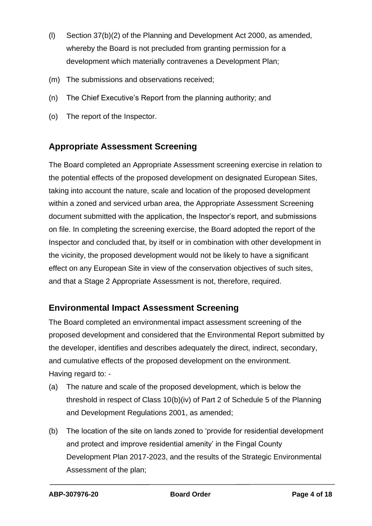- (l) Section 37(b)(2) of the Planning and Development Act 2000, as amended, whereby the Board is not precluded from granting permission for a development which materially contravenes a Development Plan;
- (m) The submissions and observations received;
- (n) The Chief Executive's Report from the planning authority; and
- (o) The report of the Inspector.

## **Appropriate Assessment Screening**

The Board completed an Appropriate Assessment screening exercise in relation to the potential effects of the proposed development on designated European Sites, taking into account the nature, scale and location of the proposed development within a zoned and serviced urban area, the Appropriate Assessment Screening document submitted with the application, the Inspector's report, and submissions on file. In completing the screening exercise, the Board adopted the report of the Inspector and concluded that, by itself or in combination with other development in the vicinity, the proposed development would not be likely to have a significant effect on any European Site in view of the conservation objectives of such sites, and that a Stage 2 Appropriate Assessment is not, therefore, required.

#### **Environmental Impact Assessment Screening**

The Board completed an environmental impact assessment screening of the proposed development and considered that the Environmental Report submitted by the developer, identifies and describes adequately the direct, indirect, secondary, and cumulative effects of the proposed development on the environment. Having regard to: -

- (a) The nature and scale of the proposed development, which is below the threshold in respect of Class 10(b)(iv) of Part 2 of Schedule 5 of the Planning and Development Regulations 2001, as amended;
- (b) The location of the site on lands zoned to 'provide for residential development and protect and improve residential amenity' in the Fingal County Development Plan 2017-2023, and the results of the Strategic Environmental Assessment of the plan;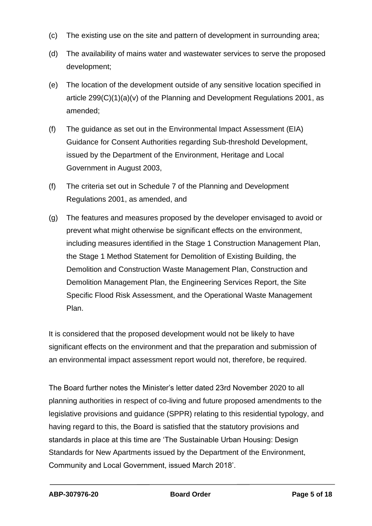- (c) The existing use on the site and pattern of development in surrounding area;
- (d) The availability of mains water and wastewater services to serve the proposed development;
- (e) The location of the development outside of any sensitive location specified in article 299(C)(1)(a)(v) of the Planning and Development Regulations 2001, as amended;
- (f) The guidance as set out in the Environmental Impact Assessment (EIA) Guidance for Consent Authorities regarding Sub-threshold Development, issued by the Department of the Environment, Heritage and Local Government in August 2003,
- (f) The criteria set out in Schedule 7 of the Planning and Development Regulations 2001, as amended, and
- (g) The features and measures proposed by the developer envisaged to avoid or prevent what might otherwise be significant effects on the environment, including measures identified in the Stage 1 Construction Management Plan, the Stage 1 Method Statement for Demolition of Existing Building, the Demolition and Construction Waste Management Plan, Construction and Demolition Management Plan, the Engineering Services Report, the Site Specific Flood Risk Assessment, and the Operational Waste Management Plan.

It is considered that the proposed development would not be likely to have significant effects on the environment and that the preparation and submission of an environmental impact assessment report would not, therefore, be required.

The Board further notes the Minister's letter dated 23rd November 2020 to all planning authorities in respect of co-living and future proposed amendments to the legislative provisions and guidance (SPPR) relating to this residential typology, and having regard to this, the Board is satisfied that the statutory provisions and standards in place at this time are 'The Sustainable Urban Housing: Design Standards for New Apartments issued by the Department of the Environment, Community and Local Government, issued March 2018'.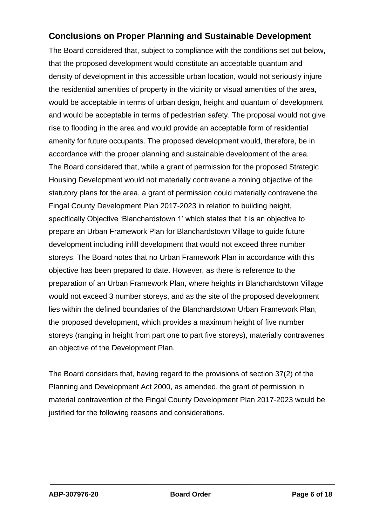## **Conclusions on Proper Planning and Sustainable Development**

The Board considered that, subject to compliance with the conditions set out below, that the proposed development would constitute an acceptable quantum and density of development in this accessible urban location, would not seriously injure the residential amenities of property in the vicinity or visual amenities of the area, would be acceptable in terms of urban design, height and quantum of development and would be acceptable in terms of pedestrian safety. The proposal would not give rise to flooding in the area and would provide an acceptable form of residential amenity for future occupants. The proposed development would, therefore, be in accordance with the proper planning and sustainable development of the area. The Board considered that, while a grant of permission for the proposed Strategic Housing Development would not materially contravene a zoning objective of the statutory plans for the area, a grant of permission could materially contravene the Fingal County Development Plan 2017-2023 in relation to building height, specifically Objective 'Blanchardstown 1' which states that it is an objective to prepare an Urban Framework Plan for Blanchardstown Village to guide future development including infill development that would not exceed three number storeys. The Board notes that no Urban Framework Plan in accordance with this objective has been prepared to date. However, as there is reference to the preparation of an Urban Framework Plan, where heights in Blanchardstown Village would not exceed 3 number storeys, and as the site of the proposed development lies within the defined boundaries of the Blanchardstown Urban Framework Plan, the proposed development, which provides a maximum height of five number storeys (ranging in height from part one to part five storeys), materially contravenes an objective of the Development Plan.

The Board considers that, having regard to the provisions of section 37(2) of the Planning and Development Act 2000, as amended, the grant of permission in material contravention of the Fingal County Development Plan 2017-2023 would be justified for the following reasons and considerations.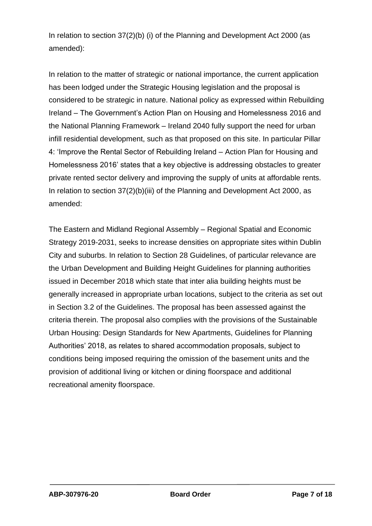In relation to section 37(2)(b) (i) of the Planning and Development Act 2000 (as amended):

In relation to the matter of strategic or national importance, the current application has been lodged under the Strategic Housing legislation and the proposal is considered to be strategic in nature. National policy as expressed within Rebuilding Ireland – The Government's Action Plan on Housing and Homelessness 2016 and the National Planning Framework – Ireland 2040 fully support the need for urban infill residential development, such as that proposed on this site. In particular Pillar 4: 'Improve the Rental Sector of Rebuilding Ireland – Action Plan for Housing and Homelessness 2016' states that a key objective is addressing obstacles to greater private rented sector delivery and improving the supply of units at affordable rents. In relation to section 37(2)(b)(iii) of the Planning and Development Act 2000, as amended:

The Eastern and Midland Regional Assembly – Regional Spatial and Economic Strategy 2019-2031, seeks to increase densities on appropriate sites within Dublin City and suburbs. In relation to Section 28 Guidelines, of particular relevance are the Urban Development and Building Height Guidelines for planning authorities issued in December 2018 which state that inter alia building heights must be generally increased in appropriate urban locations, subject to the criteria as set out in Section 3.2 of the Guidelines. The proposal has been assessed against the criteria therein. The proposal also complies with the provisions of the Sustainable Urban Housing: Design Standards for New Apartments, Guidelines for Planning Authorities' 2018, as relates to shared accommodation proposals, subject to conditions being imposed requiring the omission of the basement units and the provision of additional living or kitchen or dining floorspace and additional recreational amenity floorspace.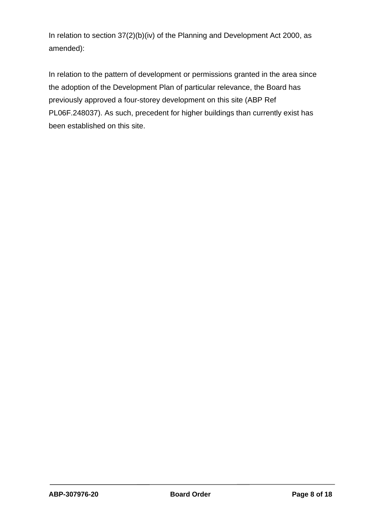In relation to section 37(2)(b)(iv) of the Planning and Development Act 2000, as amended):

In relation to the pattern of development or permissions granted in the area since the adoption of the Development Plan of particular relevance, the Board has previously approved a four-storey development on this site (ABP Ref PL06F.248037). As such, precedent for higher buildings than currently exist has been established on this site.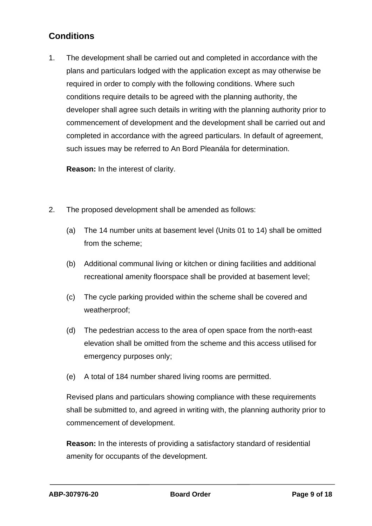# **Conditions**

1. The development shall be carried out and completed in accordance with the plans and particulars lodged with the application except as may otherwise be required in order to comply with the following conditions. Where such conditions require details to be agreed with the planning authority, the developer shall agree such details in writing with the planning authority prior to commencement of development and the development shall be carried out and completed in accordance with the agreed particulars. In default of agreement, such issues may be referred to An Bord Pleanála for determination.

**Reason:** In the interest of clarity.

- 2. The proposed development shall be amended as follows:
	- (a) The 14 number units at basement level (Units 01 to 14) shall be omitted from the scheme;
	- (b) Additional communal living or kitchen or dining facilities and additional recreational amenity floorspace shall be provided at basement level;
	- (c) The cycle parking provided within the scheme shall be covered and weatherproof;
	- (d) The pedestrian access to the area of open space from the north-east elevation shall be omitted from the scheme and this access utilised for emergency purposes only;
	- (e) A total of 184 number shared living rooms are permitted.

Revised plans and particulars showing compliance with these requirements shall be submitted to, and agreed in writing with, the planning authority prior to commencement of development.

**Reason:** In the interests of providing a satisfactory standard of residential amenity for occupants of the development.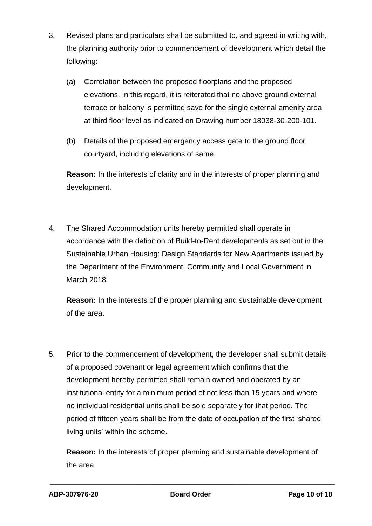- 3. Revised plans and particulars shall be submitted to, and agreed in writing with, the planning authority prior to commencement of development which detail the following:
	- (a) Correlation between the proposed floorplans and the proposed elevations. In this regard, it is reiterated that no above ground external terrace or balcony is permitted save for the single external amenity area at third floor level as indicated on Drawing number 18038-30-200-101.
	- (b) Details of the proposed emergency access gate to the ground floor courtyard, including elevations of same.

**Reason:** In the interests of clarity and in the interests of proper planning and development.

4. The Shared Accommodation units hereby permitted shall operate in accordance with the definition of Build-to-Rent developments as set out in the Sustainable Urban Housing: Design Standards for New Apartments issued by the Department of the Environment, Community and Local Government in March 2018.

**Reason:** In the interests of the proper planning and sustainable development of the area.

5. Prior to the commencement of development, the developer shall submit details of a proposed covenant or legal agreement which confirms that the development hereby permitted shall remain owned and operated by an institutional entity for a minimum period of not less than 15 years and where no individual residential units shall be sold separately for that period. The period of fifteen years shall be from the date of occupation of the first 'shared living units' within the scheme.

**Reason:** In the interests of proper planning and sustainable development of the area.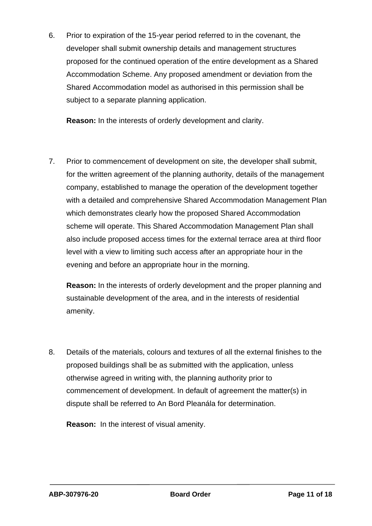6. Prior to expiration of the 15-year period referred to in the covenant, the developer shall submit ownership details and management structures proposed for the continued operation of the entire development as a Shared Accommodation Scheme. Any proposed amendment or deviation from the Shared Accommodation model as authorised in this permission shall be subject to a separate planning application.

**Reason:** In the interests of orderly development and clarity.

7. Prior to commencement of development on site, the developer shall submit, for the written agreement of the planning authority, details of the management company, established to manage the operation of the development together with a detailed and comprehensive Shared Accommodation Management Plan which demonstrates clearly how the proposed Shared Accommodation scheme will operate. This Shared Accommodation Management Plan shall also include proposed access times for the external terrace area at third floor level with a view to limiting such access after an appropriate hour in the evening and before an appropriate hour in the morning.

**Reason:** In the interests of orderly development and the proper planning and sustainable development of the area, and in the interests of residential amenity.

8. Details of the materials, colours and textures of all the external finishes to the proposed buildings shall be as submitted with the application, unless otherwise agreed in writing with, the planning authority prior to commencement of development. In default of agreement the matter(s) in dispute shall be referred to An Bord Pleanála for determination.

**Reason:** In the interest of visual amenity.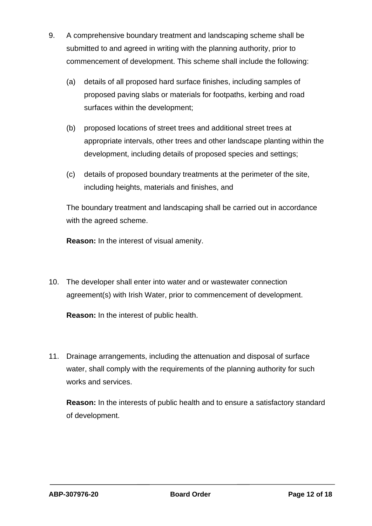- 9. A comprehensive boundary treatment and landscaping scheme shall be submitted to and agreed in writing with the planning authority, prior to commencement of development. This scheme shall include the following:
	- (a) details of all proposed hard surface finishes, including samples of proposed paving slabs or materials for footpaths, kerbing and road surfaces within the development;
	- (b) proposed locations of street trees and additional street trees at appropriate intervals, other trees and other landscape planting within the development, including details of proposed species and settings;
	- (c) details of proposed boundary treatments at the perimeter of the site, including heights, materials and finishes, and

The boundary treatment and landscaping shall be carried out in accordance with the agreed scheme.

**Reason:** In the interest of visual amenity.

10. The developer shall enter into water and or wastewater connection agreement(s) with Irish Water, prior to commencement of development.

**Reason:** In the interest of public health.

11. Drainage arrangements, including the attenuation and disposal of surface water, shall comply with the requirements of the planning authority for such works and services.

**Reason:** In the interests of public health and to ensure a satisfactory standard of development.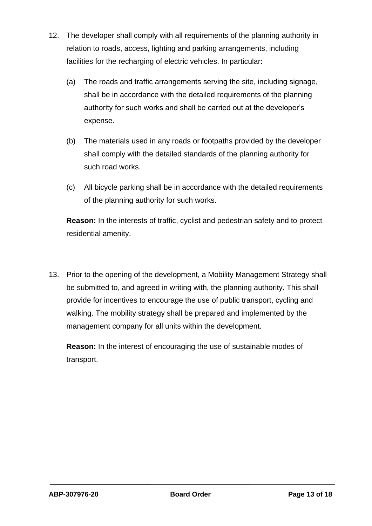- 12. The developer shall comply with all requirements of the planning authority in relation to roads, access, lighting and parking arrangements, including facilities for the recharging of electric vehicles. In particular:
	- (a) The roads and traffic arrangements serving the site, including signage, shall be in accordance with the detailed requirements of the planning authority for such works and shall be carried out at the developer's expense.
	- (b) The materials used in any roads or footpaths provided by the developer shall comply with the detailed standards of the planning authority for such road works.
	- (c) All bicycle parking shall be in accordance with the detailed requirements of the planning authority for such works.

**Reason:** In the interests of traffic, cyclist and pedestrian safety and to protect residential amenity.

13. Prior to the opening of the development, a Mobility Management Strategy shall be submitted to, and agreed in writing with, the planning authority. This shall provide for incentives to encourage the use of public transport, cycling and walking. The mobility strategy shall be prepared and implemented by the management company for all units within the development.

**Reason:** In the interest of encouraging the use of sustainable modes of transport.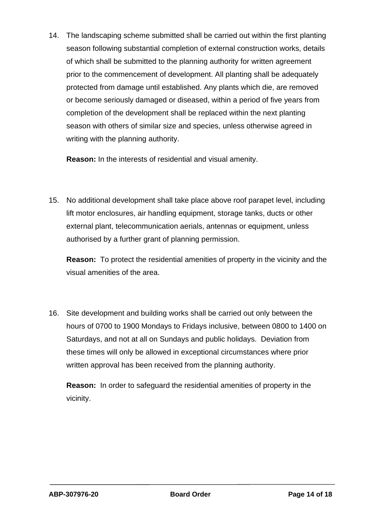14. The landscaping scheme submitted shall be carried out within the first planting season following substantial completion of external construction works, details of which shall be submitted to the planning authority for written agreement prior to the commencement of development. All planting shall be adequately protected from damage until established. Any plants which die, are removed or become seriously damaged or diseased, within a period of five years from completion of the development shall be replaced within the next planting season with others of similar size and species, unless otherwise agreed in writing with the planning authority.

**Reason:** In the interests of residential and visual amenity.

15. No additional development shall take place above roof parapet level, including lift motor enclosures, air handling equipment, storage tanks, ducts or other external plant, telecommunication aerials, antennas or equipment, unless authorised by a further grant of planning permission.

**Reason:** To protect the residential amenities of property in the vicinity and the visual amenities of the area.

16. Site development and building works shall be carried out only between the hours of 0700 to 1900 Mondays to Fridays inclusive, between 0800 to 1400 on Saturdays, and not at all on Sundays and public holidays. Deviation from these times will only be allowed in exceptional circumstances where prior written approval has been received from the planning authority.

**Reason:** In order to safeguard the residential amenities of property in the vicinity.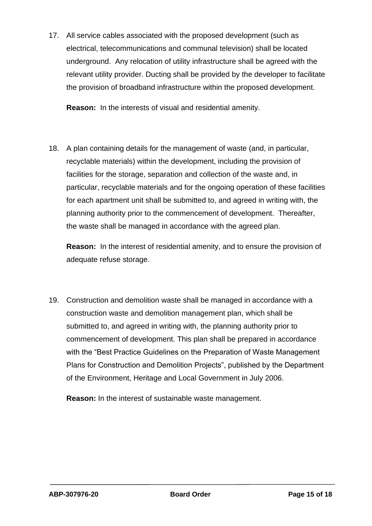17. All service cables associated with the proposed development (such as electrical, telecommunications and communal television) shall be located underground. Any relocation of utility infrastructure shall be agreed with the relevant utility provider. Ducting shall be provided by the developer to facilitate the provision of broadband infrastructure within the proposed development.

**Reason:** In the interests of visual and residential amenity.

18. A plan containing details for the management of waste (and, in particular, recyclable materials) within the development, including the provision of facilities for the storage, separation and collection of the waste and, in particular, recyclable materials and for the ongoing operation of these facilities for each apartment unit shall be submitted to, and agreed in writing with, the planning authority prior to the commencement of development. Thereafter, the waste shall be managed in accordance with the agreed plan.

**Reason:** In the interest of residential amenity, and to ensure the provision of adequate refuse storage.

19. Construction and demolition waste shall be managed in accordance with a construction waste and demolition management plan, which shall be submitted to, and agreed in writing with, the planning authority prior to commencement of development. This plan shall be prepared in accordance with the "Best Practice Guidelines on the Preparation of Waste Management Plans for Construction and Demolition Projects", published by the Department of the Environment, Heritage and Local Government in July 2006.

**Reason:** In the interest of sustainable waste management.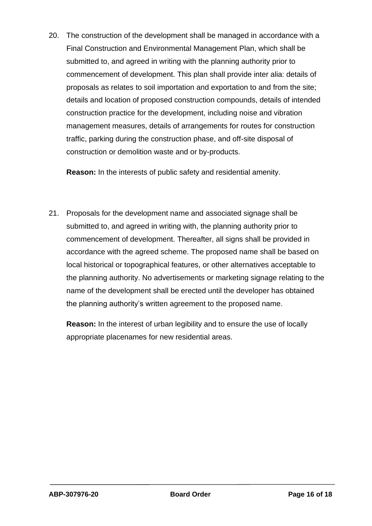20. The construction of the development shall be managed in accordance with a Final Construction and Environmental Management Plan, which shall be submitted to, and agreed in writing with the planning authority prior to commencement of development. This plan shall provide inter alia: details of proposals as relates to soil importation and exportation to and from the site; details and location of proposed construction compounds, details of intended construction practice for the development, including noise and vibration management measures, details of arrangements for routes for construction traffic, parking during the construction phase, and off-site disposal of construction or demolition waste and or by-products.

**Reason:** In the interests of public safety and residential amenity.

21. Proposals for the development name and associated signage shall be submitted to, and agreed in writing with, the planning authority prior to commencement of development. Thereafter, all signs shall be provided in accordance with the agreed scheme. The proposed name shall be based on local historical or topographical features, or other alternatives acceptable to the planning authority. No advertisements or marketing signage relating to the name of the development shall be erected until the developer has obtained the planning authority's written agreement to the proposed name.

**Reason:** In the interest of urban legibility and to ensure the use of locally appropriate placenames for new residential areas.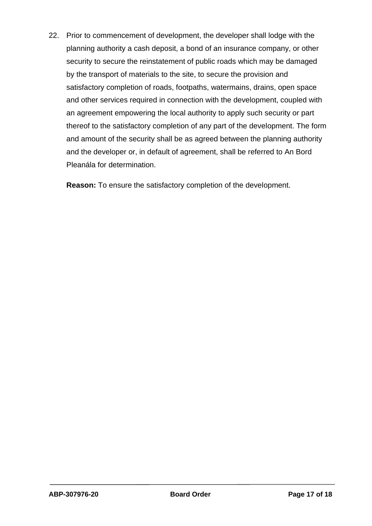22. Prior to commencement of development, the developer shall lodge with the planning authority a cash deposit, a bond of an insurance company, or other security to secure the reinstatement of public roads which may be damaged by the transport of materials to the site, to secure the provision and satisfactory completion of roads, footpaths, watermains, drains, open space and other services required in connection with the development, coupled with an agreement empowering the local authority to apply such security or part thereof to the satisfactory completion of any part of the development. The form and amount of the security shall be as agreed between the planning authority and the developer or, in default of agreement, shall be referred to An Bord Pleanála for determination.

**Reason:** To ensure the satisfactory completion of the development.